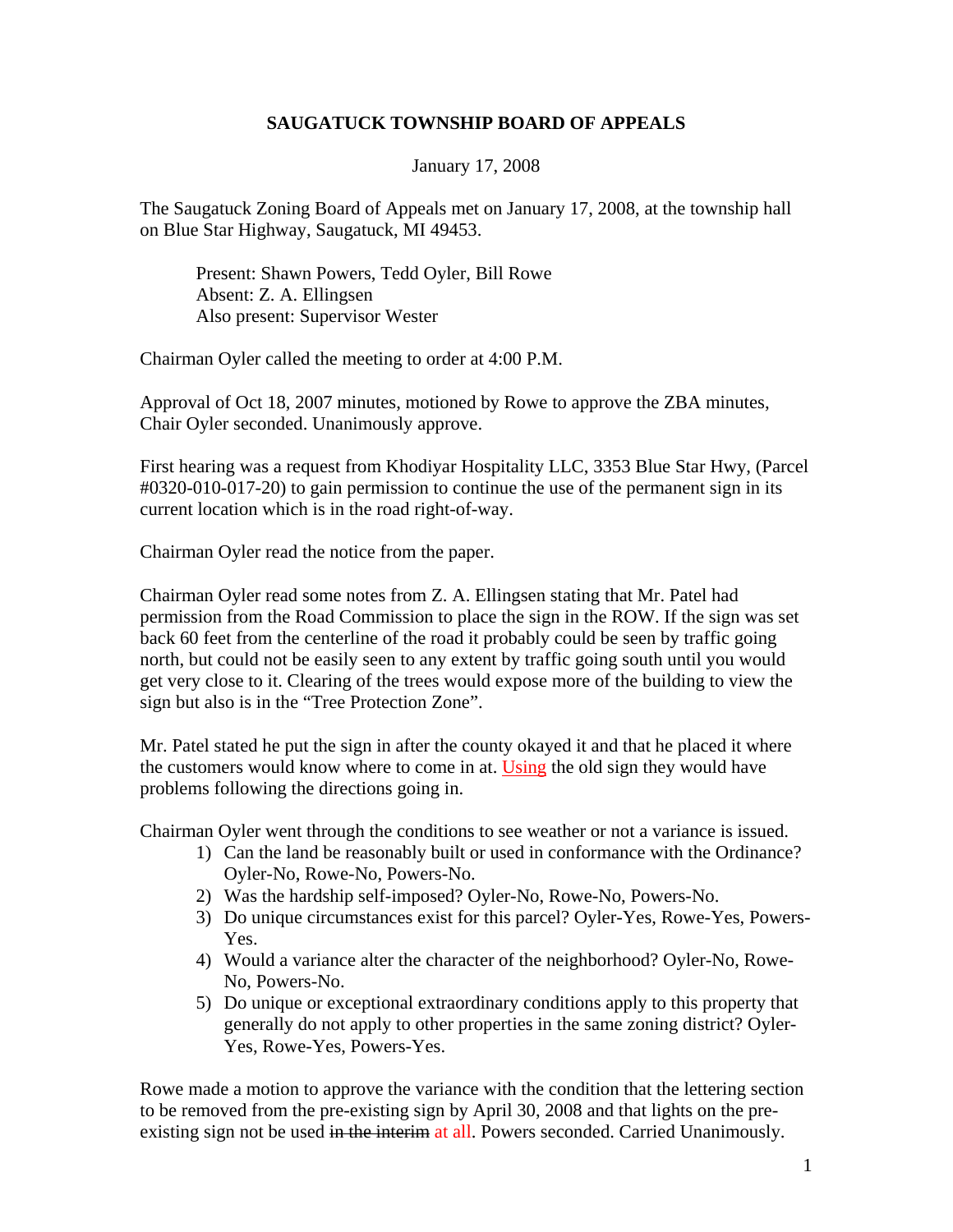## **SAUGATUCK TOWNSHIP BOARD OF APPEALS**

January 17, 2008

The Saugatuck Zoning Board of Appeals met on January 17, 2008, at the township hall on Blue Star Highway, Saugatuck, MI 49453.

Present: Shawn Powers, Tedd Oyler, Bill Rowe Absent: Z. A. Ellingsen Also present: Supervisor Wester

Chairman Oyler called the meeting to order at 4:00 P.M.

Approval of Oct 18, 2007 minutes, motioned by Rowe to approve the ZBA minutes, Chair Oyler seconded. Unanimously approve.

First hearing was a request from Khodiyar Hospitality LLC, 3353 Blue Star Hwy, (Parcel #0320-010-017-20) to gain permission to continue the use of the permanent sign in its current location which is in the road right-of-way.

Chairman Oyler read the notice from the paper.

Chairman Oyler read some notes from Z. A. Ellingsen stating that Mr. Patel had permission from the Road Commission to place the sign in the ROW. If the sign was set back 60 feet from the centerline of the road it probably could be seen by traffic going north, but could not be easily seen to any extent by traffic going south until you would get very close to it. Clearing of the trees would expose more of the building to view the sign but also is in the "Tree Protection Zone".

Mr. Patel stated he put the sign in after the county okayed it and that he placed it where the customers would know where to come in at. Using the old sign they would have problems following the directions going in.

Chairman Oyler went through the conditions to see weather or not a variance is issued.

- 1) Can the land be reasonably built or used in conformance with the Ordinance? Oyler-No, Rowe-No, Powers-No.
- 2) Was the hardship self-imposed? Oyler-No, Rowe-No, Powers-No.
- 3) Do unique circumstances exist for this parcel? Oyler-Yes, Rowe-Yes, Powers-Yes.
- 4) Would a variance alter the character of the neighborhood? Oyler-No, Rowe-No, Powers-No.
- 5) Do unique or exceptional extraordinary conditions apply to this property that generally do not apply to other properties in the same zoning district? Oyler-Yes, Rowe-Yes, Powers-Yes.

Rowe made a motion to approve the variance with the condition that the lettering section to be removed from the pre-existing sign by April 30, 2008 and that lights on the preexisting sign not be used in the interim at all. Powers seconded. Carried Unanimously.